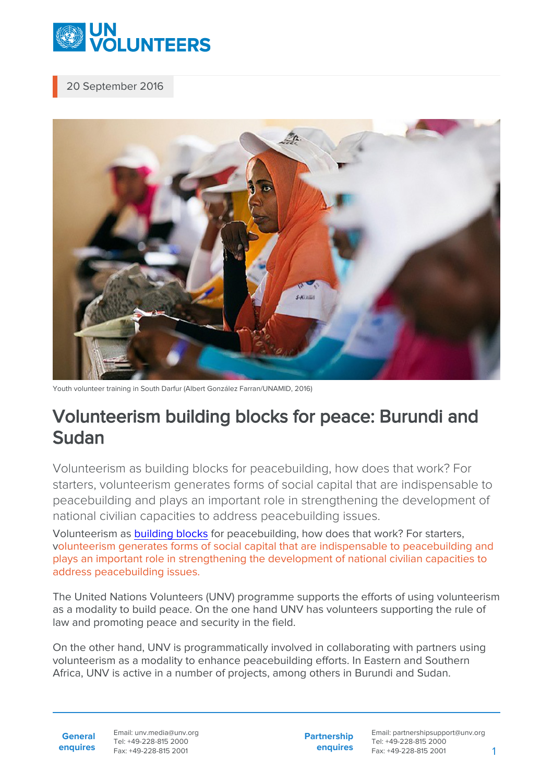

20 September 2016



Youth volunteer training in South Darfur (Albert González Farran/UNAMID, 2016)

## Volunteerism building blocks for peace: Burundi and Sudan

Volunteerism as building blocks for peacebuilding, how does that work? For starters, volunteerism generates forms of social capital that are indispensable to peacebuilding and plays an important role in strengthening the development of national civilian capacities to address peacebuilding issues.

Volunteerism as [building blocks](http://www.un.org/en/events/peaceday/) for peacebuilding, how does that work? For starters, volunteerism generates forms of social capital that are indispensable to peacebuilding and plays an important role in strengthening the development of national civilian capacities to address peacebuilding issues.

The United Nations Volunteers (UNV) programme supports the efforts of using volunteerism as a modality to build peace. On the one hand UNV has volunteers supporting the rule of law and promoting peace and security in the field.

On the other hand, UNV is programmatically involved in collaborating with partners using volunteerism as a modality to enhance peacebuilding efforts. In Eastern and Southern Africa, UNV is active in a number of projects, among others in Burundi and Sudan.

**General enquires** Email: unv.media@unv.org Tel: +49-228-815 2000 Fax: +49-228-815 2001

**Partnership enquires**

Email: partnershipsupport@unv.org Tel: +49-228-815 2000 Fax: +49-228-815 2001 1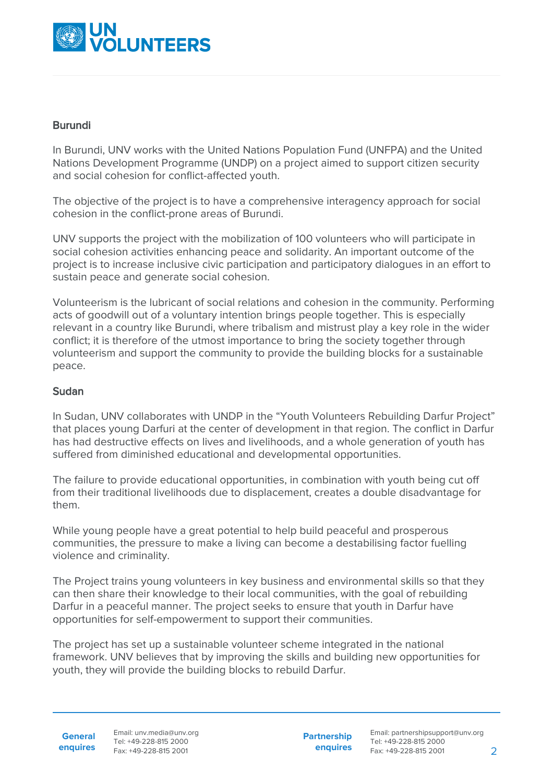

## Burundi

In Burundi, UNV works with the United Nations Population Fund (UNFPA) and the United Nations Development Programme (UNDP) on a project aimed to support citizen security and social cohesion for conflict-affected youth.

The objective of the project is to have a comprehensive interagency approach for social cohesion in the conflict-prone areas of Burundi.

UNV supports the project with the mobilization of 100 volunteers who will participate in social cohesion activities enhancing peace and solidarity. An important outcome of the project is to increase inclusive civic participation and participatory dialogues in an effort to sustain peace and generate social cohesion.

Volunteerism is the lubricant of social relations and cohesion in the community. Performing acts of goodwill out of a voluntary intention brings people together. This is especially relevant in a country like Burundi, where tribalism and mistrust play a key role in the wider conflict; it is therefore of the utmost importance to bring the society together through volunteerism and support the community to provide the building blocks for a sustainable peace.

## Sudan

In Sudan, UNV collaborates with UNDP in the "Youth Volunteers Rebuilding Darfur Project" that places young Darfuri at the center of development in that region. The conflict in Darfur has had destructive effects on lives and livelihoods, and a whole generation of youth has suffered from diminished educational and developmental opportunities.

The failure to provide educational opportunities, in combination with youth being cut off from their traditional livelihoods due to displacement, creates a double disadvantage for them.

While young people have a great potential to help build peaceful and prosperous communities, the pressure to make a living can become a destabilising factor fuelling violence and criminality.

The Project trains young volunteers in key business and environmental skills so that they can then share their knowledge to their local communities, with the goal of rebuilding Darfur in a peaceful manner. The project seeks to ensure that youth in Darfur have opportunities for self-empowerment to support their communities.

The project has set up a sustainable volunteer scheme integrated in the national framework. UNV believes that by improving the skills and building new opportunities for youth, they will provide the building blocks to rebuild Darfur.

**General enquires** Email: unv.media@unv.org Tel: +49-228-815 2000 Fax: +49-228-815 2001

**Partnership enquires**

Email: partnershipsupport@unv.org Tel: +49-228-815 2000 Fax: +49-228-815 2001 2